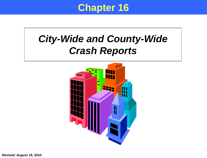### **Chapter 16**

# *City-Wide and County-Wide Crash Reports*

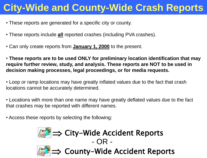# **City-Wide and County-Wide Crash Reports**

- These reports are generated for a specific city or county.
- These reports include **all** reported crashes (including PVA crashes).
- Can only create reports from **January 1, 2000** to the present.

• **These reports are to be used ONLY for preliminary location identification that may require further review, study, and analysis. These reports are NOT to be used in decision making processes, legal proceedings, or for media requests.**

• Loop or ramp locations may have greatly inflated values due to the fact that crash locations cannot be accurately determined.

• Locations with more than one name may have greatly deflated values due to the fact that crashes may be reported with different names.

• Access these reports by selecting the following:





 $\Rightarrow$  County-Wide Accident Reports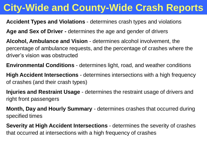# **City-Wide and County-Wide Crash Reports**

### **Accident Types and Violations** - determines crash types and violations

**Age and Sex of Driver -** determines the age and gender of drivers

**Alcohol, Ambulance and Vision** - determines alcohol involvement, the percentage of ambulance requests, and the percentage of crashes where the driver's vision was obstructed

**Environmental Conditions** - determines light, road, and weather conditions

**High Accident Intersections** - determines intersections with a high frequency of crashes (and their crash types)

**Injuries and Restraint Usage** - determines the restraint usage of drivers and right front passengers

**Month, Day and Hourly Summary** - determines crashes that occurred during specified times

**Severity at High Accident Intersections** - determines the severity of crashes that occurred at intersections with a high frequency of crashes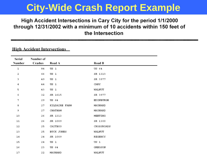### High Accident Intersections in Cary City for the period 1/1/2000 through 12/31/2002 with a minimum of 10 accidents within 150 feet of the Intersection

|  |  |  |  | <u>FILMI ACCIQUIII IIIIUISCCHOIIS</u> |  |  |  |
|--|--|--|--|---------------------------------------|--|--|--|
|  |  |  |  |                                       |  |  |  |

High Apoidant Intercontions

| Serial | Number of |               |            |
|--------|-----------|---------------|------------|
| Number | Crashes   | Road A        | Road B     |
| 1      | 84        | US 1          | US 64      |
| 2      | 66        | US 1          | SR 1313    |
| 3      | 49        | US 1          | SR 3977    |
| 4      | 44        | US 1          | CARY       |
| 5      | 43        | US 1          | WALNUT     |
| 6      | 32        | SR 1615       | SR 3977    |
| 7      | 29        | US 64         | EDINBURGH  |
| 8      | 27        | KILDAIRE FARM | MAYNARD    |
| 9      | 27        | CHATHAM       | MAYNARD    |
| 10     | 26        | SR 1313       | MEETING    |
| 11     | 26        | SR 1009       | SR 1300    |
| 12     | 25        | CAITBOO       | CROSSROADS |
| 13     | 25        | BUCK JONES    | WALNUT     |
| 14     | 24        | SR 1009       | REGENCY    |
| 15     | 24        | US 1          | US 1       |
| 16     | 23        | US 64         | GREGSON    |
| 17     | 22        | MAYNARD       | WALNUT     |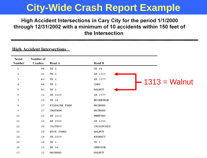### High Accident Intersections in Cary City for the period 1/1/2000 through 12/31/2002 with a minimum of 10 accidents within 150 feet of the Intersection

#### **High Accident Intersections**

| Serial<br>Number | Number of<br>Crashes | Road A        | Road B           |                 |
|------------------|----------------------|---------------|------------------|-----------------|
| $\mathbf 1$      | 84                   | US 1          | US 64            |                 |
| 2                | 66                   | US 1          | SR 1313          |                 |
| з                | 49                   | US 1          | SR 3977          |                 |
| 4                | 44                   | US 1          | CARY             | $1313$ = Walnut |
| 5                | 43                   | US 1          | WALNUT           |                 |
| 6                | 32                   | SR 1615       | SR 3977          |                 |
| 7                | 29                   | US 64         | <b>EDINBURGH</b> |                 |
| 8                | 27                   | KILDAIRE FARM | MAYNARD          |                 |
| 9                | 27                   | CHATHAM       | MAYNARD          |                 |
| 10               | 26                   | SR 1313       | MEETING          |                 |
| 11               | 26                   | SR 1009       | SR 1300          |                 |
| 12               | 25                   | CAITBOO       | CROSSROADS       |                 |
| 13               | 25                   | BUCK JONES    | WALNUT           |                 |
| 14               | 24                   | SR 1009       | REGENCY          |                 |
| 15               | 24                   | US 1          | US 1             |                 |
| 16               | 23                   | US 64         | GREGSON          |                 |
| 17               | 22                   | MAYNARD       | WALNUT           |                 |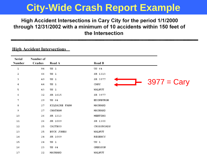### High Accident Intersections in Cary City for the period 1/1/2000 through 12/31/2002 with a minimum of 10 accidents within 150 feet of the Intersection

#### **High Accident Intersections**

| Serial<br>Number | Number of<br>Crashes | Road A        | Road B                |
|------------------|----------------------|---------------|-----------------------|
| $\mathbf 1$      | 84                   | US 1          | US 64                 |
| 2                | 66                   | US 1          | SR 1313               |
| 3                | 49                   | US 1          | SR 3977               |
| 4                | 44                   | US 1          | $3977 = Cary$<br>CARY |
| 5                | 43                   | US 1          | WALNUT                |
| 6                | 32                   | SR 1615       | SR 3977               |
| 7                | 29                   | US 64         | EDINBURGH             |
| 8                | 27                   | KILDAIRE FARM | MAYNARD               |
| 9                | 27                   | CHATHAM       | MAYNARD               |
| 10               | 26                   | SR 1313       | MEETING               |
| $11\,$           | 26                   | SR 1009       | SR 1300               |
| 12               | 25                   | CAITBOO       | CROSSROADS            |
| 13               | 25                   | BUCK JONES    | WALNUT                |
| 14               | 24                   | SR 1009       | REGENCY               |
| 15               | 24                   | US 1          | US 1                  |
| 16               | 23                   | US 64         | GREGSON               |
| 17               | 22                   | MAYNARD       | WALNUT                |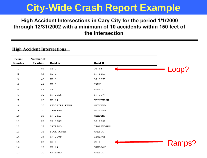### High Accident Intersections in Cary City for the period 1/1/2000 through 12/31/2002 with a minimum of 10 accidents within 150 feet of the Intersection

|  | <b>High Accident Intersections</b> |
|--|------------------------------------|
|  |                                    |

| Serial<br>Number | Number of<br>Crashes | Road A        | Road B     |        |
|------------------|----------------------|---------------|------------|--------|
| 1                | 84                   | US 1          | US 64      | Loop?  |
| 2                | 66                   | US 1          | SR 1313    |        |
| 3                | 49                   | US 1          | SR 3977    |        |
| 4                | 44                   | US 1          | CARY       |        |
| 5                | 43                   | US 1          | WALNUT     |        |
| 6                | 32                   | SR 1615       | SR 3977    |        |
| 7                | 29                   | US 64         | EDINBURGH  |        |
| 8                | 27                   | KILDAIRE FARM | MAYNARD    |        |
| 9                | 27                   | CHATHAM       | MAYNARD    |        |
| 10               | 26                   | SR 1313       | MEETING    |        |
| 11               | 26                   | SR 1009       | SR 1300    |        |
| 12               | 25                   | CAITBOO       | CROSSROADS |        |
| 13               | 25                   | BUCK JONES    | WALNUT     |        |
| 14               | 24                   | SR 1009       | REGENCY    |        |
| 15               | 24                   | US 1          | US 1       | Ramps? |
| 16               | 23                   | US 64         | GREGSON    |        |
| 17               | 22                   | MAYNARD       | WALNUT     |        |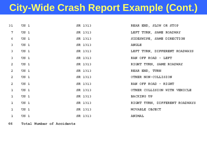## **City-Wide Crash Report Example (Cont.)**

| 31 US 1        |                            | SR 1313                    | REAR END, SLOW OR STOP         |
|----------------|----------------------------|----------------------------|--------------------------------|
|                | 7 US 1                     | SR 1313                    | LEFT TURN, SAME ROADWAY        |
| $6 -$          | US 1                       | SR 1313                    | SIDESWIPE, SAME DIRECTION      |
| $\mathbf{3}$   | US 1                       | SR 1313                    | <b>ANGLE</b>                   |
| 3.             | US 1                       | SR 1313                    | LEFT TURN, DIFFERENT ROADWAYS  |
| 3.             | US 1                       | SR 1313                    | RAN OFF ROAD - LEFT            |
| $Z^-$          | US 1                       | SR 1313                    | RIGHT TURN, SAME ROADWAY       |
| 2.             | US 1                       | SR 1313                    | REAR END, TURN                 |
| $Z^-$          | US 1                       | SR 1313                    | OTHER NON-COLLISION            |
| $\mathbb{Z}$ . | US 1                       | SR 1313                    | RAN OFF ROAD - RIGHT           |
| $\mathbf{L}$   | US 1                       | SR 1313                    | OTHER COLLISION WITH VEHICLE   |
| $\mathbf{1}$   | $US_1$                     | SR 1313                    | BACKING UP                     |
| $\mathbf{1}$   | US 1                       | SR 1313                    | RIGHT TURN, DIFFERENT ROADWAYS |
| $\mathbf{1}$   | US <sub>1</sub>            | SR 1313                    | MOVABLE OBJECT                 |
|                | <b>SR 1313</b><br>$1$ US 1 | <b>EXAMPLE 2018 ANIMAL</b> |                                |
|                |                            |                            |                                |

66 Total Number of Accidents